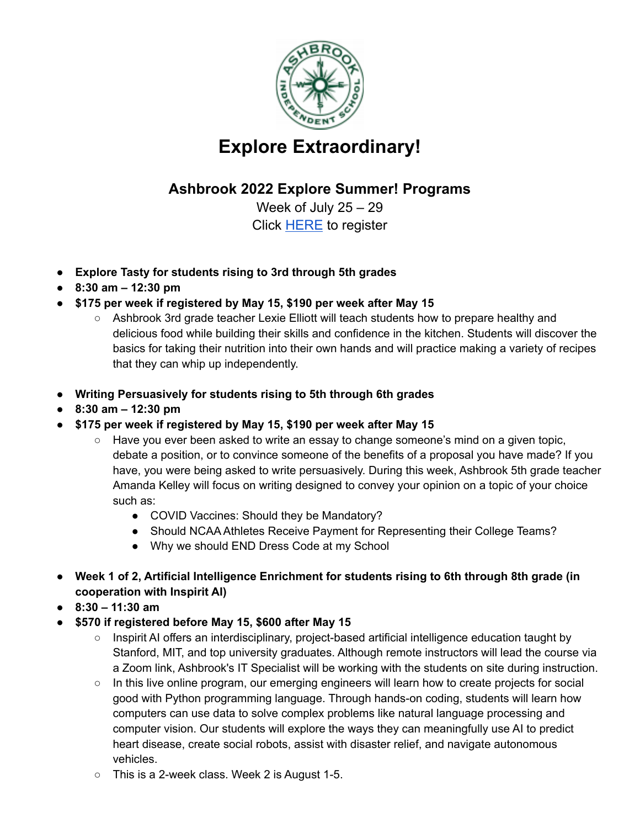

## **Explore Extraordinary!**

## **Ashbrook 2022 Explore Summer! Programs**

Week of July 25 – 29 Click [HERE](https://forms.gle/ZbCt6RwyBEhmvC1B6) to register

- **● Explore Tasty for students rising to 3rd through 5th grades**
- **● 8:30 am – 12:30 pm**
- **● \$175 per week if registered by May 15, \$190 per week after May 15**
	- Ashbrook 3rd grade teacher Lexie Elliott will teach students how to prepare healthy and delicious food while building their skills and confidence in the kitchen. Students will discover the basics for taking their nutrition into their own hands and will practice making a variety of recipes that they can whip up independently.
- **● Writing Persuasively for students rising to 5th through 6th grades**
- **● 8:30 am – 12:30 pm**
- **● \$175 per week if registered by May 15, \$190 per week after May 15**
	- $\circ$  Have you ever been asked to write an essay to change someone's mind on a given topic, debate a position, or to convince someone of the benefits of a proposal you have made? If you have, you were being asked to write persuasively. During this week, Ashbrook 5th grade teacher Amanda Kelley will focus on writing designed to convey your opinion on a topic of your choice such as:
		- COVID Vaccines: Should they be Mandatory?
		- Should NCAA Athletes Receive Payment for Representing their College Teams?
		- Why we should END Dress Code at my School
- **● Week 1 of 2, Artificial Intelligence Enrichment for students rising to 6th through 8th grade (in cooperation with Inspirit AI)**
- **● 8:30 – 11:30 am**
- **● \$570 if registered before May 15, \$600 after May 15**
	- Inspirit AI offers an interdisciplinary, project-based artificial intelligence education taught by Stanford, MIT, and top university graduates. Although remote instructors will lead the course via a Zoom link, Ashbrook's IT Specialist will be working with the students on site during instruction.
	- In this live online program, our emerging engineers will learn how to create projects for social good with Python programming language. Through hands-on coding, students will learn how computers can use data to solve complex problems like natural language processing and computer vision. Our students will explore the ways they can meaningfully use AI to predict heart disease, create social robots, assist with disaster relief, and navigate autonomous vehicles.
	- $\circ$  This is a 2-week class. Week 2 is August 1-5.